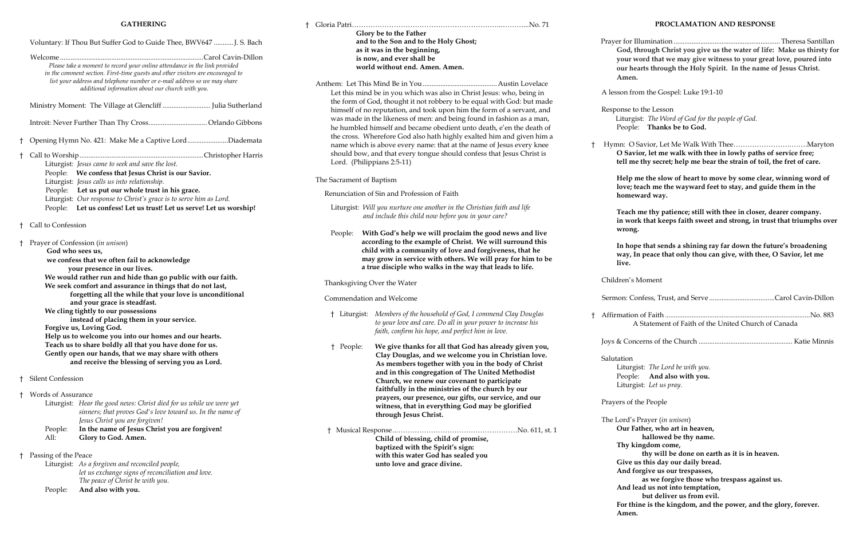# **GATHERING**

# † Gloria Patri………………………………………………………..………...No. 71 ..................... Austin Lovelace Christ Jesus: who, being in be equal with God: but made m the form of a servant, and found in fashion as a man, anto death, e'en the death of exalted him and given him a ne name of Jesus every knee confess that Jesus Christ is Liturgist: *Will you nurture one another in the Christian faith and life and include this child now before you in your care?* im the good news and live **ist. We will surround this** and forgiveness, that he *Me will pray for him to be* **way that leads to life.** † Liturgist: *Members of the household of God, I commend Clay Douglas your power to increase his faith, confirm his hope, and perfect him in love.*  $G$ od has already given you,  **come you in Christian love. You in the body of Christ The United Methodist nant to participate** of the church by our  **prayers, our presence, our gifts, our service, and our God may be glorified**  $\cdots$  Mo. 611, st. 1  **Child of blessing, child of promise,** *led* you **live.**  † Affirmati Joys & Cc **Salutation** Litur Peop<sup>1</sup> Litur Prayers of The Lord' **Our Thy Give**

|  | Voluntary: If Thou But Suffer God to Guide Thee, BWV647  J. S. Bach                                                                                                                                                                                                                           |                                                                                                                                                                                                                              | Glory be to the Father<br>and to the Son and to the Holy Ghost;<br>as it was in the beginning,<br>is now, and ever shall be<br>world without end. Amen. Amen.<br>Let this mind be in you which was also in Chris |                                                                                                                                    |
|--|-----------------------------------------------------------------------------------------------------------------------------------------------------------------------------------------------------------------------------------------------------------------------------------------------|------------------------------------------------------------------------------------------------------------------------------------------------------------------------------------------------------------------------------|------------------------------------------------------------------------------------------------------------------------------------------------------------------------------------------------------------------|------------------------------------------------------------------------------------------------------------------------------------|
|  | Please take a moment to record your online attendance in the link provided<br>in the comment section. First-time guests and other visitors are encouraged to<br>list your address and telephone number or e-mail address so we may share<br>additional information about our church with you. |                                                                                                                                                                                                                              |                                                                                                                                                                                                                  |                                                                                                                                    |
|  |                                                                                                                                                                                                                                                                                               |                                                                                                                                                                                                                              |                                                                                                                                                                                                                  |                                                                                                                                    |
|  |                                                                                                                                                                                                                                                                                               | Ministry Moment: The Village at Glencliff  Julia Sutherland                                                                                                                                                                  |                                                                                                                                                                                                                  | the form of God, thought it not robbery to be eq<br>himself of no reputation, and took upon him th                                 |
|  |                                                                                                                                                                                                                                                                                               |                                                                                                                                                                                                                              | was made in the likeness of men: and being fou<br>he humbled himself and became obedient unto                                                                                                                    |                                                                                                                                    |
|  |                                                                                                                                                                                                                                                                                               | Opening Hymn No. 421: Make Me a Captive LordDiademata                                                                                                                                                                        | the cross. Wherefore God also hath highly exal<br>name which is above every name: that at the na                                                                                                                 |                                                                                                                                    |
|  | Liturgist: Jesus came to seek and save the lost.                                                                                                                                                                                                                                              |                                                                                                                                                                                                                              | should bow, and that every tongue should cont<br>Lord. (Philippians 2:5-11)<br>The Sacrament of Baptism                                                                                                          |                                                                                                                                    |
|  | People: We confess that Jesus Christ is our Savior.<br>Liturgist: Jesus calls us into relationship.<br>People: Let us put our whole trust in his grace.<br>Liturgist: Our response to Christ's grace is to serve him as Lord.                                                                 |                                                                                                                                                                                                                              |                                                                                                                                                                                                                  |                                                                                                                                    |
|  |                                                                                                                                                                                                                                                                                               |                                                                                                                                                                                                                              | Renunciation of Sin and Profession of Faith                                                                                                                                                                      |                                                                                                                                    |
|  |                                                                                                                                                                                                                                                                                               | People: Let us confess! Let us trust! Let us serve! Let us worship!                                                                                                                                                          |                                                                                                                                                                                                                  | Liturgist: Will you nurture one another in the Chr<br>and include this child now before you in                                     |
|  | Call to Confession                                                                                                                                                                                                                                                                            |                                                                                                                                                                                                                              | People:                                                                                                                                                                                                          | With God's help we will proclaim th                                                                                                |
|  | Prayer of Confession (in unison)<br>God who sees us,                                                                                                                                                                                                                                          |                                                                                                                                                                                                                              |                                                                                                                                                                                                                  | according to the example of Christ.<br>child with a community of love and                                                          |
|  | we confess that we often fail to acknowledge<br>your presence in our lives.                                                                                                                                                                                                                   |                                                                                                                                                                                                                              |                                                                                                                                                                                                                  | may grow in service with others. We<br>a true disciple who walks in the way                                                        |
|  | We would rather run and hide than go public with our faith.<br>We seek comfort and assurance in things that do not last,<br>forgetting all the while that your love is unconditional<br>and your grace is steadfast.                                                                          |                                                                                                                                                                                                                              | Thanksgiving Over the Water<br>Commendation and Welcome                                                                                                                                                          |                                                                                                                                    |
|  |                                                                                                                                                                                                                                                                                               |                                                                                                                                                                                                                              |                                                                                                                                                                                                                  |                                                                                                                                    |
|  |                                                                                                                                                                                                                                                                                               | We cling tightly to our possessions<br>instead of placing them in your service.<br>Forgive us, Loving God.                                                                                                                   |                                                                                                                                                                                                                  | † Liturgist: Members of the household of God, I<br>to your love and care. Do all in your<br>faith, confirm his hope, and perfect l |
|  |                                                                                                                                                                                                                                                                                               | Help us to welcome you into our homes and our hearts.<br>Teach us to share boldly all that you have done for us.<br>Gently open our hands, that we may share with others<br>and receive the blessing of serving you as Lord. | † People:                                                                                                                                                                                                        | We give thanks for all that God<br>Clay Douglas, and we welcome<br>As members together with you                                    |
|  | Silent Confession                                                                                                                                                                                                                                                                             |                                                                                                                                                                                                                              |                                                                                                                                                                                                                  | and in this congregation of The<br>Church, we renew our covenant                                                                   |
|  | Words of Assurance<br>Liturgist: Hear the good news: Christ died for us while we were yet                                                                                                                                                                                                     |                                                                                                                                                                                                                              |                                                                                                                                                                                                                  | faithfully in the ministries of th<br>prayers, our presence, our gifts,                                                            |
|  |                                                                                                                                                                                                                                                                                               | sinners; that proves God's love toward us. In the name of<br>Jesus Christ you are forgiven!                                                                                                                                  |                                                                                                                                                                                                                  | witness, that in everything God<br>through Jesus Christ.                                                                           |
|  | People:<br>All:                                                                                                                                                                                                                                                                               | In the name of Jesus Christ you are forgiven!<br>Glory to God. Amen.                                                                                                                                                         | Child of blessing, child of prom                                                                                                                                                                                 |                                                                                                                                    |
|  | Passing of the Peace                                                                                                                                                                                                                                                                          |                                                                                                                                                                                                                              |                                                                                                                                                                                                                  | baptized with the Spirit's sign:<br>with this water God has sealed                                                                 |
|  |                                                                                                                                                                                                                                                                                               | Liturgist: As a forgiven and reconciled people,<br>let us exchange signs of reconciliation and love.<br>The peace of Christ be with you.                                                                                     |                                                                                                                                                                                                                  | unto love and grace divine.                                                                                                        |
|  | People:                                                                                                                                                                                                                                                                                       | And also with you.                                                                                                                                                                                                           |                                                                                                                                                                                                                  |                                                                                                                                    |

## **PROCLAMATION AND RESPONSE**

 Prayer for Illumination ............................................................ Theresa Santillan **God, through Christ you give us the water of life: Make us thirsty for your word that we may give witness to your great love, poured into our hearts through the Holy Spirit. In the name of Jesus Christ. Amen.**

A lesson from the Gospel: Luke 19:1-10

Response to the Lesson Liturgist: *The Word of God for the people of God.* People: **Thanks be to God.**

† Hymn: O Savior, Let Me Walk With Thee…………………….…….Maryton **O Savior, let me walk with thee in lowly paths of service free; tell me thy secret; help me bear the strain of toil, the fret of care.**

> **Help me the slow of heart to move by some clear, winning word of love; teach me the wayward feet to stay, and guide them in the homeward way.**

**Teach me thy patience; still with thee in closer, dearer company. in work that keeps faith sweet and strong, in trust that triumphs over wrong.**

**In hope that sends a shining ray far down the future's broadening way, In peace that only thou can give, with thee, O Savior, let me** 

Children's Moment

| No. 883<br>A Statement of Faith of the United Church of Canada                           |  |  |  |
|------------------------------------------------------------------------------------------|--|--|--|
|                                                                                          |  |  |  |
| Salutation<br>Liturgist: The Lord be with you.<br>People: And also with you.             |  |  |  |
| Liturgist: Let us pray.                                                                  |  |  |  |
| Prayers of the People                                                                    |  |  |  |
| The Lord's Prayer (in unison)<br>Our Father, who art in heaven,<br>hallowed be thy name. |  |  |  |
| Thy kingdom come,                                                                        |  |  |  |
| thy will be done on earth as it is in heaven.                                            |  |  |  |
| Give us this day our daily bread.                                                        |  |  |  |
| And forgive us our trespasses,<br>as we forgive those who trespass against us.           |  |  |  |
| And lead us not into temptation,<br>but deliver us from evil.                            |  |  |  |
| For thine is the kingdom, and the power, and the glory, forever.<br>Amen.                |  |  |  |
|                                                                                          |  |  |  |